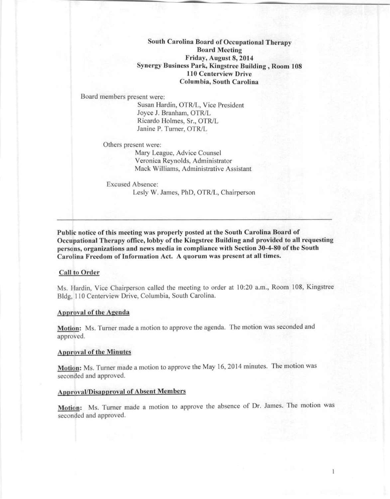## South Carolina Board of Occupational Therapy Board Meeting Friday, August 8, 2014 Synergy Business Park, Kingstree Building, Room 108 **110 Centerview Drive** Columbia, South Carolina

Board members present were:

Susan Hardin, OTR/L, Vice President Joyce J. Branham, OTR/L Ricardo Holmes, Sr., OTR/L Janine P. Turner, OTR/L

Others present were:

Mary League, Advice Counsel Veronica Reynolds, Administrator Mack Williams, Administrative Assistant

Exeused Absence: Lesly W. James, PhD, OTR/L, Chairperson

Public notice of this meeting was properly posted at the South Carolina Board of Occupational Therapy office, lobby of the Kingstree Building and provided to all requesting persons, organizations and news media in compliance with Section 30-4-80 of the South **Carolina Freedom of Information Act. A quorum was present at all times.**

#### Call to Order

Ms. Hardin, Vice Chairperson called the meeting to order at 10:20 a.m., Room 108, Kingstree Bldg, 110 Centerview Drive, Columbia, South Carolina.

### Approval of the Agenda

Motion: Ms. Turner made a motion to approve the agenda. The motion was seconded and approved.

### Approval of the Minutes

Motion: Ms. Turner made a motion to approve the May 16, 2014 minutes. The motion was seeonded and approved.

### Approval/Disapproval of Absent Members

Motion: Ms. Turner made a motion to approve the absence of Dr. James. The motion was seconded and approved.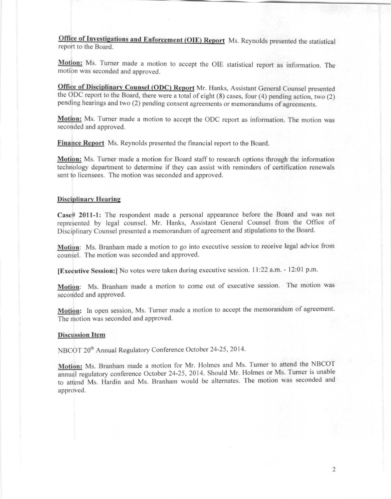Office of Investigations and Enforcement (OIE) Report Ms. Reynolds presented the statistical report to the Board.

Motion: Ms. Turner made a motion to accept the OIE statistical report as information. The motion was seconded and approved.

Office of Disciplinary Counsel (ODC) Report Mr. Hanks, Assistant General Counsel presented the ODC report to the Board, there were a total of eight  $(8)$  cases, four  $(4)$  pending action, two  $(2)$ pending hearings and two (2) pending consent agreements or memorandums of agreements.

Motion: Ms. Turner made a motion to accept the ODC report as information. The motion was seconded and approved.

Finance Report Ms. Reynolds presented the financial report to the Board.

Motion: Ms. Turner made a motion for Board staff to research options through the information technology department to determine if they can assist with reminders of certification renewals sent to licensees. The motion was seconded and approved.

### **Disciplinan' Hearing**

Case# 2011-1: The respondent made a personal appearance before the Board and was not represented by legal counsel. Mr. Hanks, Assistant General Counsel from the Office of Disciplinary Counsel presented a memorandum of agreement and stipulations to the Board.

Motion: Ms. Branham made a motion to go into executive session to receive legal advice from counsel. The motion was seconded and approved.

(Executive Session:1 No votes were taken during executive session. 11:22 a.m. - 12:01 p.m.

Motion: Ms. Branham made a motion to come out of executive session. The motion was seconded and approved.

Motion: In open session, Ms. Turner made a motion to accept the memorandum of agreement. The motion was seconded and approved.

### **Discussion Item**

NBCOT 20'<sup>h</sup> Annual Regulatory Conference October 24-25, 2014.

Motion: Ms. Branham made a motion for Mr. Holmes and Ms. Turner to attend the NBCOT annual regulatory conference October 24-25, 2014. Should Mr. Holmes or Ms. Turner is unable to attend Ms. Hardin and Ms. Branham would be alternates. The motion was seconded and approved.